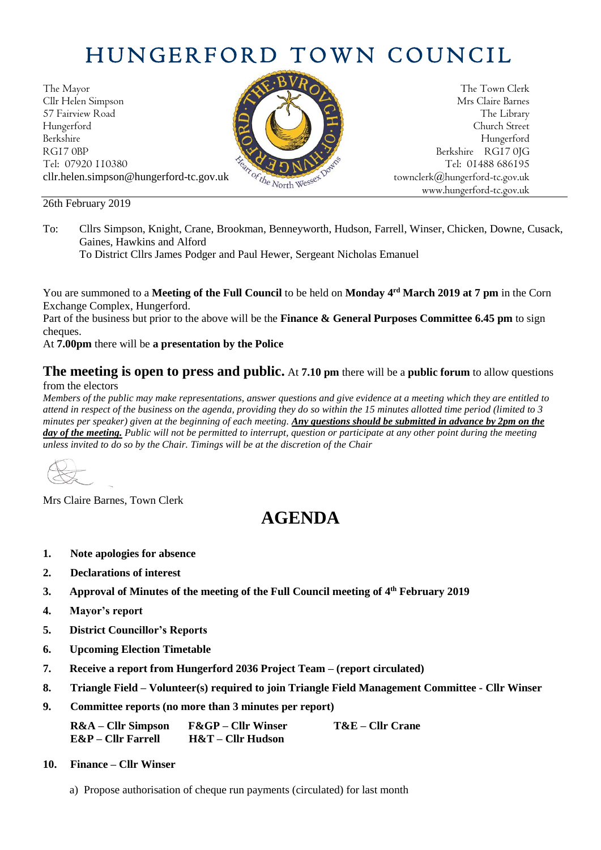# HUNGERFORD TOWN COUNCIL

The Mayor The Town Clerk<br>Clir Helen Simpson Mrs Claire Barnes Cllr Helen Simpson 57 Fairview Road The Library (Contract of the Library of the Library of the Library Hungerford Church Street Berkshire Hungerford RG17 0BP Berkshire RG17 0IG Tel: 07920 110380 Tel: 07920 110380 Tel: 07920 110380 Tel: 07920 110380 Tel: 01488 686195 cllr.helen.simpson@hungerford-tc.gov.uk [townclerk@hungerford-tc.gov.uk](mailto:townclerk@hungerford-tc.gov.uk)

26th February 2019

To: Cllrs Simpson, Knight, Crane, Brookman, Benneyworth, Hudson, Farrell, Winser, Chicken, Downe, Cusack, Gaines, Hawkins and Alford

To District Cllrs James Podger and Paul Hewer, Sergeant Nicholas Emanuel

You are summoned to a **Meeting of the Full Council** to be held on **Monday 4 rd March 2019 at 7 pm** in the Corn Exchange Complex, Hungerford.

Part of the business but prior to the above will be the **Finance & General Purposes Committee 6.45 pm** to sign cheques.

At **7.00pm** there will be **a presentation by the Police**

#### **The meeting is open to press and public.** At **7.10 pm** there will be a **public forum** to allow questions from the electors

*Members of the public may make representations, answer questions and give evidence at a meeting which they are entitled to attend in respect of the business on the agenda, providing they do so within the 15 minutes allotted time period (limited to 3 minutes per speaker) given at the beginning of each meeting. Any questions should be submitted in advance by 2pm on the day of the meeting. Public will not be permitted to interrupt, question or participate at any other point during the meeting unless invited to do so by the Chair. Timings will be at the discretion of the Chair*

Mrs Claire Barnes, Town Clerk

## **AGENDA**

- **1. Note apologies for absence**
- **2. Declarations of interest**
- **3. Approval of Minutes of the meeting of the Full Council meeting of 4 th February 2019**
- **4. Mayor's report**
- **5. District Councillor's Reports**
- **6. Upcoming Election Timetable**
- **7. Receive a report from Hungerford 2036 Project Team – (report circulated)**
- **8. Triangle Field – Volunteer(s) required to join Triangle Field Management Committee - Cllr Winser**
- **9. Committee reports (no more than 3 minutes per report)**

**R&A – Cllr Simpson F&GP – Cllr Winser T&E – Cllr Crane E&P – Cllr Farrell H&T – Cllr Hudson**

- **10. Finance – Cllr Winser**
	- a) Propose authorisation of cheque run payments (circulated) for last month



www.hungerford-tc.gov.uk